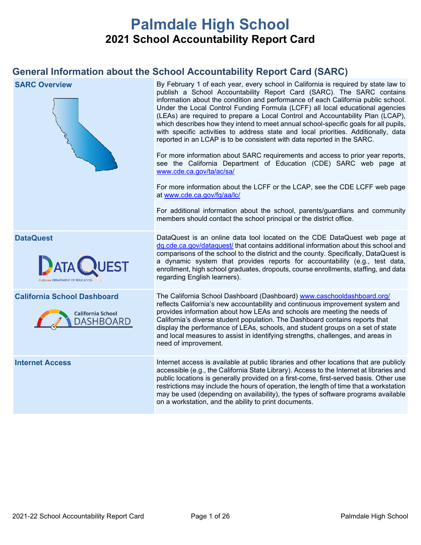# **Palmdale High School 2021 School Accountability Report Card**

## **General Information about the School Accountability Report Card (SARC)**

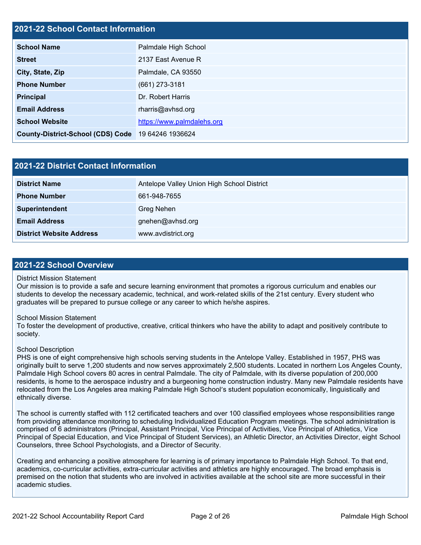## **2021-22 School Contact Information**

| <b>School Name</b>                       | Palmdale High School       |  |  |
|------------------------------------------|----------------------------|--|--|
| <b>Street</b>                            | 2137 East Avenue R         |  |  |
| City, State, Zip                         | Palmdale, CA 93550         |  |  |
| <b>Phone Number</b>                      | $(661)$ 273-3181           |  |  |
| <b>Principal</b>                         | Dr. Robert Harris          |  |  |
| <b>Email Address</b>                     | rharris@avhsd.org          |  |  |
| <b>School Website</b>                    | https://www.palmdalehs.org |  |  |
| <b>County-District-School (CDS) Code</b> | 19 64246 1936624           |  |  |

| 2021-22 District Contact Information |                                            |  |  |  |
|--------------------------------------|--------------------------------------------|--|--|--|
| <b>District Name</b>                 | Antelope Valley Union High School District |  |  |  |
| <b>Phone Number</b>                  | 661-948-7655                               |  |  |  |
| Superintendent                       | Greg Nehen                                 |  |  |  |
| <b>Email Address</b>                 | gnehen@avhsd.org                           |  |  |  |
| <b>District Website Address</b>      | www.avdistrict.org                         |  |  |  |

#### **2021-22 School Overview**

#### District Mission Statement

Our mission is to provide a safe and secure learning environment that promotes a rigorous curriculum and enables our students to develop the necessary academic, technical, and work-related skills of the 21st century. Every student who graduates will be prepared to pursue college or any career to which he/she aspires.

#### School Mission Statement

To foster the development of productive, creative, critical thinkers who have the ability to adapt and positively contribute to society.

#### School Description

PHS is one of eight comprehensive high schools serving students in the Antelope Valley. Established in 1957, PHS was originally built to serve 1,200 students and now serves approximately 2,500 students. Located in northern Los Angeles County, Palmdale High School covers 80 acres in central Palmdale. The city of Palmdale, with its diverse population of 200,000 residents, is home to the aerospace industry and a burgeoning home construction industry. Many new Palmdale residents have relocated from the Los Angeles area making Palmdale High School's student population economically, linguistically and ethnically diverse.

The school is currently staffed with 112 certificated teachers and over 100 classified employees whose responsibilities range from providing attendance monitoring to scheduling Individualized Education Program meetings. The school administration is comprised of 6 administrators (Principal, Assistant Principal, Vice Principal of Activities, Vice Principal of Athletics, Vice Principal of Special Education, and Vice Principal of Student Services), an Athletic Director, an Activities Director, eight School Counselors, three School Psychologists, and a Director of Security.

Creating and enhancing a positive atmosphere for learning is of primary importance to Palmdale High School. To that end, academics, co-curricular activities, extra-curricular activities and athletics are highly encouraged. The broad emphasis is premised on the notion that students who are involved in activities available at the school site are more successful in their academic studies.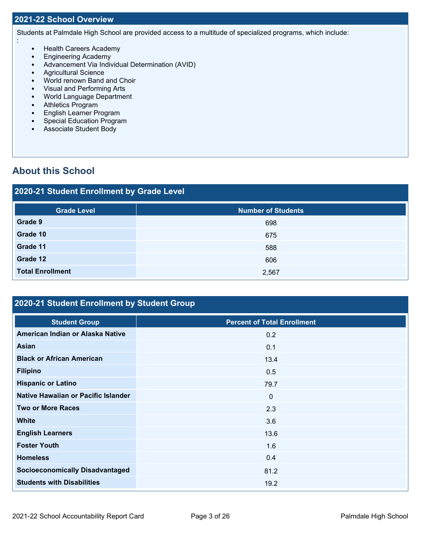#### **2021-22 School Overview**

:

Students at Palmdale High School are provided access to a multitude of specialized programs, which include:

- Health Careers Academy
- Engineering Academy
- Advancement Via Individual Determination (AVID)
- Agricultural Science
- World renown Band and Choir
- Visual and Performing Arts
- World Language Department
- Athletics Program<br>• English Learner Pr
- English Learner Program
- Special Education Program
- Associate Student Body

## **About this School**

# **2020-21 Student Enrollment by Grade Level Grade Level Number of Students Grade 9** 698 **Grade 10** 675 **Grade 11** 588 **Grade 12** 606 **Total Enrollment** 2,567

## **2020-21 Student Enrollment by Student Group**

| <b>Student Group</b>                   | <b>Percent of Total Enrollment</b> |
|----------------------------------------|------------------------------------|
| American Indian or Alaska Native       | 0.2                                |
| Asian                                  | 0.1                                |
| <b>Black or African American</b>       | 13.4                               |
| <b>Filipino</b>                        | 0.5                                |
| <b>Hispanic or Latino</b>              | 79.7                               |
| Native Hawaiian or Pacific Islander    | $\mathbf 0$                        |
| <b>Two or More Races</b>               | 2.3                                |
| <b>White</b>                           | 3.6                                |
| <b>English Learners</b>                | 13.6                               |
| <b>Foster Youth</b>                    | 1.6                                |
| <b>Homeless</b>                        | 0.4                                |
| <b>Socioeconomically Disadvantaged</b> | 81.2                               |
| <b>Students with Disabilities</b>      | 19.2                               |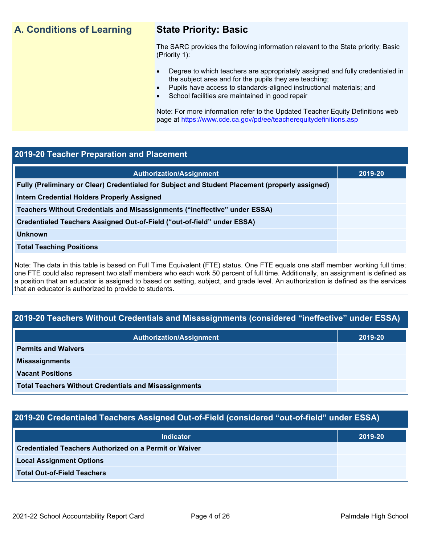## **A. Conditions of Learning State Priority: Basic**

The SARC provides the following information relevant to the State priority: Basic (Priority 1):

- Degree to which teachers are appropriately assigned and fully credentialed in the subject area and for the pupils they are teaching;
	- Pupils have access to standards-aligned instructional materials; and
- School facilities are maintained in good repair

Note: For more information refer to the Updated Teacher Equity Definitions web page at<https://www.cde.ca.gov/pd/ee/teacherequitydefinitions.asp>

### **2019-20 Teacher Preparation and Placement**

| <b>Authorization/Assignment</b>                                                                 | 2019-20 |
|-------------------------------------------------------------------------------------------------|---------|
| Fully (Preliminary or Clear) Credentialed for Subject and Student Placement (properly assigned) |         |
| <b>Intern Credential Holders Properly Assigned</b>                                              |         |
| Teachers Without Credentials and Misassignments ("ineffective" under ESSA)                      |         |
| Credentialed Teachers Assigned Out-of-Field ("out-of-field" under ESSA)                         |         |
| <b>Unknown</b>                                                                                  |         |
| <b>Total Teaching Positions</b>                                                                 |         |
|                                                                                                 |         |

Note: The data in this table is based on Full Time Equivalent (FTE) status. One FTE equals one staff member working full time; one FTE could also represent two staff members who each work 50 percent of full time. Additionally, an assignment is defined as a position that an educator is assigned to based on setting, subject, and grade level. An authorization is defined as the services that an educator is authorized to provide to students.

## **2019-20 Teachers Without Credentials and Misassignments (considered "ineffective" under ESSA)**

| <b>Authorization/Assignment</b>                              | 2019-20 |
|--------------------------------------------------------------|---------|
| <b>Permits and Waivers</b>                                   |         |
| <b>Misassignments</b>                                        |         |
| <b>Vacant Positions</b>                                      |         |
| <b>Total Teachers Without Credentials and Misassignments</b> |         |

## **2019-20 Credentialed Teachers Assigned Out-of-Field (considered "out-of-field" under ESSA)**

| <b>Indicator</b>                                              | 2019-20 |
|---------------------------------------------------------------|---------|
| <b>Credentialed Teachers Authorized on a Permit or Waiver</b> |         |
| <b>Local Assignment Options</b>                               |         |
| <b>Total Out-of-Field Teachers</b>                            |         |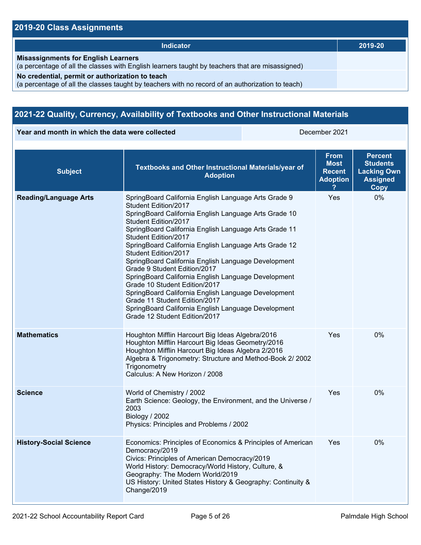## **2019-20 Class Assignments**

| Indicator                                                                                                                                           | 2019-20 |
|-----------------------------------------------------------------------------------------------------------------------------------------------------|---------|
| <b>Misassignments for English Learners</b><br>(a percentage of all the classes with English learners taught by teachers that are misassigned)       |         |
| No credential, permit or authorization to teach<br>(a percentage of all the classes taught by teachers with no record of an authorization to teach) |         |

## **2021-22 Quality, Currency, Availability of Textbooks and Other Instructional Materials**

**Year and month in which the data were collected** December 2021

| <b>Subject</b>                | Textbooks and Other Instructional Materials/year of<br><b>Adoption</b>                                                                                                                                                                                                                                                                                                                                                                                                                                                                                                                                                                                                                         | <b>From</b><br>Most<br><b>Recent</b><br><b>Adoption</b> | <b>Percent</b><br><b>Students</b><br><b>Lacking Own</b><br><b>Assigned</b><br>Copy |
|-------------------------------|------------------------------------------------------------------------------------------------------------------------------------------------------------------------------------------------------------------------------------------------------------------------------------------------------------------------------------------------------------------------------------------------------------------------------------------------------------------------------------------------------------------------------------------------------------------------------------------------------------------------------------------------------------------------------------------------|---------------------------------------------------------|------------------------------------------------------------------------------------|
| <b>Reading/Language Arts</b>  | SpringBoard California English Language Arts Grade 9<br>Student Edition/2017<br>SpringBoard California English Language Arts Grade 10<br>Student Edition/2017<br>SpringBoard California English Language Arts Grade 11<br>Student Edition/2017<br>SpringBoard California English Language Arts Grade 12<br>Student Edition/2017<br>SpringBoard California English Language Development<br>Grade 9 Student Edition/2017<br>SpringBoard California English Language Development<br>Grade 10 Student Edition/2017<br>SpringBoard California English Language Development<br>Grade 11 Student Edition/2017<br>SpringBoard California English Language Development<br>Grade 12 Student Edition/2017 | Yes                                                     | 0%                                                                                 |
| <b>Mathematics</b>            | Houghton Mifflin Harcourt Big Ideas Algebra/2016<br>Houghton Mifflin Harcourt Big Ideas Geometry/2016<br>Houghton Mifflin Harcourt Big Ideas Algebra 2/2016<br>Algebra & Trigonometry: Structure and Method-Book 2/ 2002<br>Trigonometry<br>Calculus: A New Horizon / 2008                                                                                                                                                                                                                                                                                                                                                                                                                     | Yes                                                     | 0%                                                                                 |
| <b>Science</b>                | World of Chemistry / 2002<br>Earth Science: Geology, the Environment, and the Universe /<br>2003<br>Biology / 2002<br>Physics: Principles and Problems / 2002                                                                                                                                                                                                                                                                                                                                                                                                                                                                                                                                  | Yes                                                     | 0%                                                                                 |
| <b>History-Social Science</b> | Economics: Principles of Economics & Principles of American<br>Democracy/2019<br>Civics: Principles of American Democracy/2019<br>World History: Democracy/World History, Culture, &<br>Geography: The Modern World/2019<br>US History: United States History & Geography: Continuity &<br>Change/2019                                                                                                                                                                                                                                                                                                                                                                                         | <b>Yes</b>                                              | 0%                                                                                 |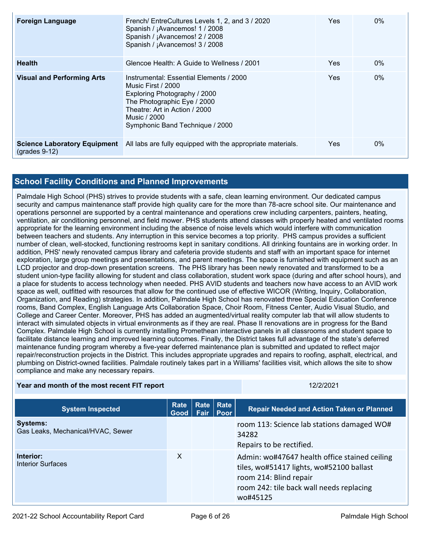| <b>Foreign Language</b>                                    | French/ EntreCultures Levels 1, 2, and 3 / 2020<br>Spanish / ¡Avancemos! 1 / 2008<br>Spanish / ¡Avancemos! 2 / 2008<br>Spanish / ¡Avancemos! 3 / 2008                                                            | Yes | $0\%$ |
|------------------------------------------------------------|------------------------------------------------------------------------------------------------------------------------------------------------------------------------------------------------------------------|-----|-------|
| <b>Health</b>                                              | Glencoe Health: A Guide to Wellness / 2001                                                                                                                                                                       | Yes | $0\%$ |
| <b>Visual and Performing Arts</b>                          | Instrumental: Essential Elements / 2000<br>Music First / 2000<br>Exploring Photography / 2000<br>The Photographic Eye / 2000<br>Theatre: Art in Action / 2000<br>Music / 2000<br>Symphonic Band Technique / 2000 | Yes | $0\%$ |
| <b>Science Laboratory Equipment</b><br>$($ grades 9-12 $)$ | All labs are fully equipped with the appropriate materials.                                                                                                                                                      | Yes | $0\%$ |

## **School Facility Conditions and Planned Improvements**

Palmdale High School (PHS) strives to provide students with a safe, clean learning environment. Our dedicated campus security and campus maintenance staff provide high quality care for the more than 78-acre school site. Our maintenance and operations personnel are supported by a central maintenance and operations crew including carpenters, painters, heating, ventilation, air conditioning personnel, and field mower. PHS students attend classes with properly heated and ventilated rooms appropriate for the learning environment including the absence of noise levels which would interfere with communication between teachers and students. Any interruption in this service becomes a top priority. PHS campus provides a sufficient number of clean, well-stocked, functioning restrooms kept in sanitary conditions. All drinking fountains are in working order. In addition, PHS' newly renovated campus library and cafeteria provide students and staff with an important space for internet exploration, large group meetings and presentations, and parent meetings. The space is furnished with equipment such as an LCD projector and drop-down presentation screens. The PHS library has been newly renovated and transformed to be a student union-type facility allowing for student and class collaboration, student work space (during and after school hours), and a place for students to access technology when needed. PHS AVID students and teachers now have access to an AVID work space as well, outfitted with resources that allow for the continued use of effective WICOR (Writing, Inquiry, Collaboration, Organization, and Reading) strategies. In addition, Palmdale High School has renovated three Special Education Conference rooms, Band Complex, English Language Arts Collaboration Space, Choir Room, Fitness Center, Audio Visual Studio, and College and Career Center. Moreover, PHS has added an augmented/virtual reality computer lab that will allow students to interact with simulated objects in virtual environments as if they are real. Phase II renovations are in progress for the Band Complex. Palmdale High School is currently installing Promethean interactive panels in all classrooms and student space to facilitate distance learning and improved learning outcomes. Finally, the District takes full advantage of the state's deferred maintenance funding program whereby a five-year deferred maintenance plan is submitted and updated to reflect major repair/reconstruction projects in the District. This includes appropriate upgrades and repairs to roofing, asphalt, electrical, and plumbing on District-owned facilities. Palmdale routinely takes part in a Williams' facilities visit, which allows the site to show compliance and make any necessary repairs.

#### **Year and month of the most recent FIT report** 12/2/2021 12/2/2021

| <b>System Inspected</b>                              | Rate<br>Good | <b>Fair</b> | Rate Rate<br><b>Poor</b> | <b>Repair Needed and Action Taken or Planned</b>                                                                                                                            |
|------------------------------------------------------|--------------|-------------|--------------------------|-----------------------------------------------------------------------------------------------------------------------------------------------------------------------------|
| <b>Systems:</b><br>Gas Leaks, Mechanical/HVAC, Sewer |              |             |                          | room 113: Science lab stations damaged WO#<br>34282<br>Repairs to be rectified.                                                                                             |
| Interior:<br>Interior Surfaces                       | X            |             |                          | Admin: wo#47647 health office stained ceiling<br>tiles, wo#51417 lights, wo#52100 ballast<br>room 214: Blind repair<br>room 242: tile back wall needs replacing<br>wo#45125 |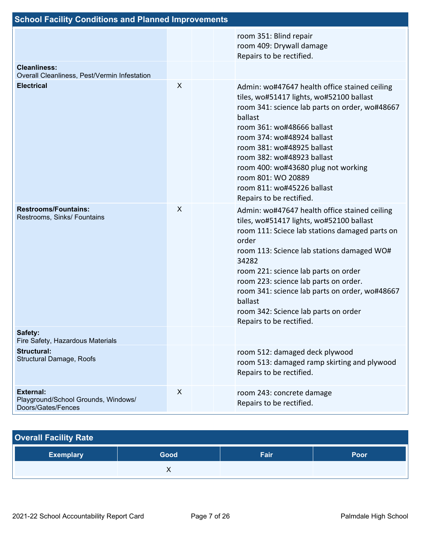| <b>School Facility Conditions and Planned Improvements</b>                    |   |  |                                                                                                                                                                                                                                                                                                                                                                                                                               |  |  |
|-------------------------------------------------------------------------------|---|--|-------------------------------------------------------------------------------------------------------------------------------------------------------------------------------------------------------------------------------------------------------------------------------------------------------------------------------------------------------------------------------------------------------------------------------|--|--|
|                                                                               |   |  | room 351: Blind repair<br>room 409: Drywall damage<br>Repairs to be rectified.                                                                                                                                                                                                                                                                                                                                                |  |  |
| <b>Cleanliness:</b><br>Overall Cleanliness, Pest/Vermin Infestation           |   |  |                                                                                                                                                                                                                                                                                                                                                                                                                               |  |  |
| <b>Electrical</b>                                                             | X |  | Admin: wo#47647 health office stained ceiling<br>tiles, wo#51417 lights, wo#52100 ballast<br>room 341: science lab parts on order, wo#48667<br>ballast<br>room 361: wo#48666 ballast<br>room 374: wo#48924 ballast<br>room 381: wo#48925 ballast<br>room 382: wo#48923 ballast<br>room 400: wo#43680 plug not working<br>room 801: WO 20889<br>room 811: wo#45226 ballast<br>Repairs to be rectified.                         |  |  |
| <b>Restrooms/Fountains:</b><br>Restrooms, Sinks/ Fountains                    | X |  | Admin: wo#47647 health office stained ceiling<br>tiles, wo#51417 lights, wo#52100 ballast<br>room 111: Sciece lab stations damaged parts on<br>order<br>room 113: Science lab stations damaged WO#<br>34282<br>room 221: science lab parts on order<br>room 223: science lab parts on order.<br>room 341: science lab parts on order, wo#48667<br>ballast<br>room 342: Science lab parts on order<br>Repairs to be rectified. |  |  |
| Safety:<br>Fire Safety, Hazardous Materials                                   |   |  |                                                                                                                                                                                                                                                                                                                                                                                                                               |  |  |
| Structural:<br><b>Structural Damage, Roofs</b>                                |   |  | room 512: damaged deck plywood<br>room 513: damaged ramp skirting and plywood<br>Repairs to be rectified.                                                                                                                                                                                                                                                                                                                     |  |  |
| <b>External:</b><br>Playground/School Grounds, Windows/<br>Doors/Gates/Fences | X |  | room 243: concrete damage<br>Repairs to be rectified.                                                                                                                                                                                                                                                                                                                                                                         |  |  |

| <b>Overall Facility Rate</b> |      |      |      |  |  |  |
|------------------------------|------|------|------|--|--|--|
| <b>Exemplary</b>             | Good | Fair | Poor |  |  |  |
|                              |      |      |      |  |  |  |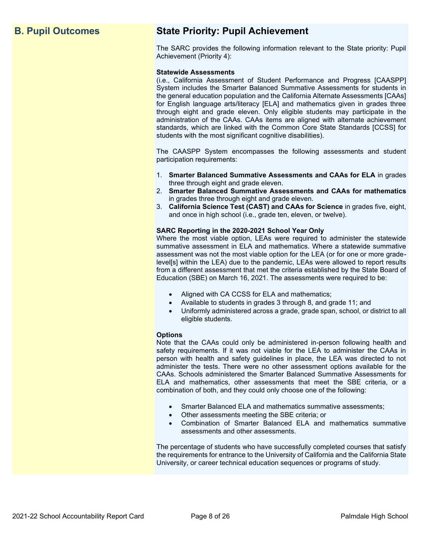## **B. Pupil Outcomes State Priority: Pupil Achievement**

The SARC provides the following information relevant to the State priority: Pupil Achievement (Priority 4):

#### **Statewide Assessments**

(i.e., California Assessment of Student Performance and Progress [CAASPP] System includes the Smarter Balanced Summative Assessments for students in the general education population and the California Alternate Assessments [CAAs] for English language arts/literacy [ELA] and mathematics given in grades three through eight and grade eleven. Only eligible students may participate in the administration of the CAAs. CAAs items are aligned with alternate achievement standards, which are linked with the Common Core State Standards [CCSS] for students with the most significant cognitive disabilities).

The CAASPP System encompasses the following assessments and student participation requirements:

- 1. **Smarter Balanced Summative Assessments and CAAs for ELA** in grades three through eight and grade eleven.
- 2. **Smarter Balanced Summative Assessments and CAAs for mathematics** in grades three through eight and grade eleven.
- 3. **California Science Test (CAST) and CAAs for Science** in grades five, eight, and once in high school (i.e., grade ten, eleven, or twelve).

#### **SARC Reporting in the 2020-2021 School Year Only**

Where the most viable option, LEAs were required to administer the statewide summative assessment in ELA and mathematics. Where a statewide summative assessment was not the most viable option for the LEA (or for one or more gradelevel[s] within the LEA) due to the pandemic, LEAs were allowed to report results from a different assessment that met the criteria established by the State Board of Education (SBE) on March 16, 2021. The assessments were required to be:

- Aligned with CA CCSS for ELA and mathematics;
- Available to students in grades 3 through 8, and grade 11; and
- Uniformly administered across a grade, grade span, school, or district to all eligible students.

#### **Options**

Note that the CAAs could only be administered in-person following health and safety requirements. If it was not viable for the LEA to administer the CAAs in person with health and safety guidelines in place, the LEA was directed to not administer the tests. There were no other assessment options available for the CAAs. Schools administered the Smarter Balanced Summative Assessments for ELA and mathematics, other assessments that meet the SBE criteria, or a combination of both, and they could only choose one of the following:

- Smarter Balanced ELA and mathematics summative assessments;
- Other assessments meeting the SBE criteria; or
- Combination of Smarter Balanced ELA and mathematics summative assessments and other assessments.

The percentage of students who have successfully completed courses that satisfy the requirements for entrance to the University of California and the California State University, or career technical education sequences or programs of study.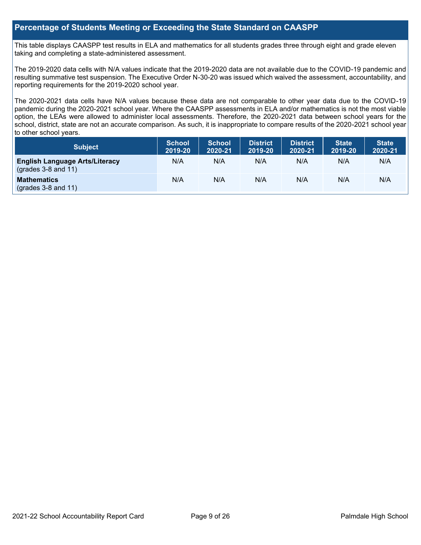### **Percentage of Students Meeting or Exceeding the State Standard on CAASPP**

This table displays CAASPP test results in ELA and mathematics for all students grades three through eight and grade eleven taking and completing a state-administered assessment.

The 2019-2020 data cells with N/A values indicate that the 2019-2020 data are not available due to the COVID-19 pandemic and resulting summative test suspension. The Executive Order N-30-20 was issued which waived the assessment, accountability, and reporting requirements for the 2019-2020 school year.

The 2020-2021 data cells have N/A values because these data are not comparable to other year data due to the COVID-19 pandemic during the 2020-2021 school year. Where the CAASPP assessments in ELA and/or mathematics is not the most viable option, the LEAs were allowed to administer local assessments. Therefore, the 2020-2021 data between school years for the school, district, state are not an accurate comparison. As such, it is inappropriate to compare results of the 2020-2021 school year to other school years.

| Subject                                                              | <b>School</b><br>2019-20 | <b>School</b><br>2020-21 | <b>District</b><br>2019-20 | <b>District</b><br>2020-21 | <b>State</b><br>2019-20 | <b>State</b><br>2020-21 |
|----------------------------------------------------------------------|--------------------------|--------------------------|----------------------------|----------------------------|-------------------------|-------------------------|
| <b>English Language Arts/Literacy</b><br>$\left($ grades 3-8 and 11) | N/A                      | N/A                      | N/A                        | N/A                        | N/A                     | N/A                     |
| <b>Mathematics</b><br>$(grades 3-8 and 11)$                          | N/A                      | N/A                      | N/A                        | N/A                        | N/A                     | N/A                     |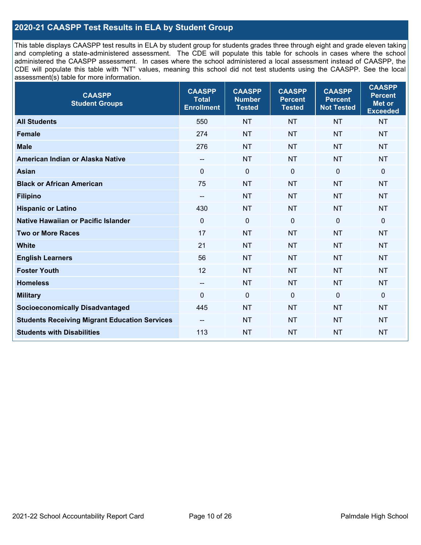## **2020-21 CAASPP Test Results in ELA by Student Group**

This table displays CAASPP test results in ELA by student group for students grades three through eight and grade eleven taking and completing a state-administered assessment. The CDE will populate this table for schools in cases where the school administered the CAASPP assessment. In cases where the school administered a local assessment instead of CAASPP, the CDE will populate this table with "NT" values, meaning this school did not test students using the CAASPP. See the local assessment(s) table for more information.

| <b>CAASPP</b><br><b>Student Groups</b>               | <b>CAASPP</b><br><b>Total</b><br><b>Enrollment</b> | <b>CAASPP</b><br><b>Number</b><br><b>Tested</b> | <b>CAASPP</b><br><b>Percent</b><br><b>Tested</b> | <b>CAASPP</b><br><b>Percent</b><br><b>Not Tested</b> | <b>CAASPP</b><br><b>Percent</b><br><b>Met or</b><br><b>Exceeded</b> |
|------------------------------------------------------|----------------------------------------------------|-------------------------------------------------|--------------------------------------------------|------------------------------------------------------|---------------------------------------------------------------------|
| <b>All Students</b>                                  | 550                                                | <b>NT</b>                                       | <b>NT</b>                                        | <b>NT</b>                                            | <b>NT</b>                                                           |
| <b>Female</b>                                        | 274                                                | <b>NT</b>                                       | <b>NT</b>                                        | <b>NT</b>                                            | <b>NT</b>                                                           |
| <b>Male</b>                                          | 276                                                | <b>NT</b>                                       | <b>NT</b>                                        | <b>NT</b>                                            | <b>NT</b>                                                           |
| American Indian or Alaska Native                     | $\qquad \qquad -$                                  | <b>NT</b>                                       | <b>NT</b>                                        | <b>NT</b>                                            | <b>NT</b>                                                           |
| <b>Asian</b>                                         | $\mathbf{0}$                                       | $\mathbf 0$                                     | $\mathbf 0$                                      | $\mathbf{0}$                                         | $\mathbf 0$                                                         |
| <b>Black or African American</b>                     | 75                                                 | <b>NT</b>                                       | <b>NT</b>                                        | <b>NT</b>                                            | <b>NT</b>                                                           |
| <b>Filipino</b>                                      | $-$                                                | <b>NT</b>                                       | <b>NT</b>                                        | <b>NT</b>                                            | <b>NT</b>                                                           |
| <b>Hispanic or Latino</b>                            | 430                                                | <b>NT</b>                                       | <b>NT</b>                                        | <b>NT</b>                                            | <b>NT</b>                                                           |
| Native Hawaiian or Pacific Islander                  | $\mathbf 0$                                        | $\mathbf 0$                                     | $\mathbf 0$                                      | $\mathbf 0$                                          | $\mathbf 0$                                                         |
| <b>Two or More Races</b>                             | 17                                                 | <b>NT</b>                                       | <b>NT</b>                                        | <b>NT</b>                                            | <b>NT</b>                                                           |
| <b>White</b>                                         | 21                                                 | <b>NT</b>                                       | <b>NT</b>                                        | <b>NT</b>                                            | <b>NT</b>                                                           |
| <b>English Learners</b>                              | 56                                                 | <b>NT</b>                                       | <b>NT</b>                                        | <b>NT</b>                                            | <b>NT</b>                                                           |
| <b>Foster Youth</b>                                  | 12                                                 | <b>NT</b>                                       | <b>NT</b>                                        | <b>NT</b>                                            | <b>NT</b>                                                           |
| <b>Homeless</b>                                      | $\overline{\phantom{a}}$                           | <b>NT</b>                                       | <b>NT</b>                                        | <b>NT</b>                                            | <b>NT</b>                                                           |
| <b>Military</b>                                      | $\mathbf 0$                                        | $\mathbf 0$                                     | $\mathbf 0$                                      | $\mathbf 0$                                          | $\mathbf 0$                                                         |
| <b>Socioeconomically Disadvantaged</b>               | 445                                                | <b>NT</b>                                       | <b>NT</b>                                        | <b>NT</b>                                            | <b>NT</b>                                                           |
| <b>Students Receiving Migrant Education Services</b> | $-$                                                | <b>NT</b>                                       | <b>NT</b>                                        | <b>NT</b>                                            | NT                                                                  |
| <b>Students with Disabilities</b>                    | 113                                                | <b>NT</b>                                       | <b>NT</b>                                        | <b>NT</b>                                            | <b>NT</b>                                                           |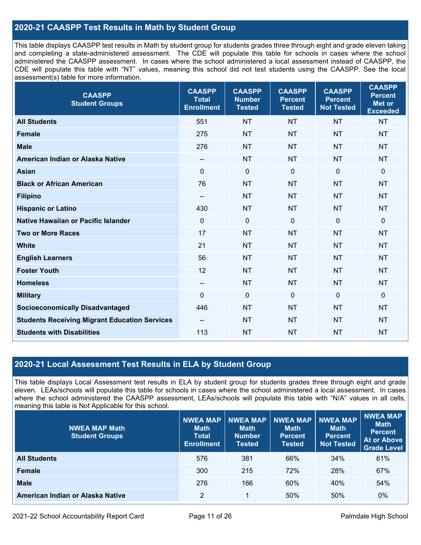## **2020-21 CAASPP Test Results in Math by Student Group**

This table displays CAASPP test results in Math by student group for students grades three through eight and grade eleven taking and completing a state-administered assessment. The CDE will populate this table for schools in cases where the school administered the CAASPP assessment. In cases where the school administered a local assessment instead of CAASPP, the CDE will populate this table with "NT" values, meaning this school did not test students using the CAASPP. See the local assessment(s) table for more information.

| <b>CAASPP</b><br><b>Student Groups</b>               | <b>CAASPP</b><br><b>Total</b><br><b>Enrollment</b> | <b>CAASPP</b><br><b>Number</b><br><b>Tested</b> | <b>CAASPP</b><br><b>Percent</b><br><b>Tested</b> | <b>CAASPP</b><br><b>Percent</b><br><b>Not Tested</b> | <b>CAASPP</b><br><b>Percent</b><br><b>Met or</b><br><b>Exceeded</b> |
|------------------------------------------------------|----------------------------------------------------|-------------------------------------------------|--------------------------------------------------|------------------------------------------------------|---------------------------------------------------------------------|
| <b>All Students</b>                                  | 551                                                | <b>NT</b>                                       | <b>NT</b>                                        | <b>NT</b>                                            | <b>NT</b>                                                           |
| <b>Female</b>                                        | 275                                                | <b>NT</b>                                       | <b>NT</b>                                        | <b>NT</b>                                            | <b>NT</b>                                                           |
| <b>Male</b>                                          | 276                                                | <b>NT</b>                                       | <b>NT</b>                                        | <b>NT</b>                                            | <b>NT</b>                                                           |
| American Indian or Alaska Native                     | $-$                                                | <b>NT</b>                                       | <b>NT</b>                                        | <b>NT</b>                                            | <b>NT</b>                                                           |
| <b>Asian</b>                                         | $\mathbf 0$                                        | $\pmb{0}$                                       | 0                                                | $\mathbf 0$                                          | $\mathbf 0$                                                         |
| <b>Black or African American</b>                     | 76                                                 | <b>NT</b>                                       | <b>NT</b>                                        | <b>NT</b>                                            | <b>NT</b>                                                           |
| <b>Filipino</b>                                      | $\overline{\phantom{a}}$                           | <b>NT</b>                                       | <b>NT</b>                                        | <b>NT</b>                                            | <b>NT</b>                                                           |
| <b>Hispanic or Latino</b>                            | 430                                                | <b>NT</b>                                       | <b>NT</b>                                        | <b>NT</b>                                            | <b>NT</b>                                                           |
| Native Hawaiian or Pacific Islander                  | $\mathbf 0$                                        | $\mathbf 0$                                     | $\mathbf 0$                                      | $\mathbf 0$                                          | $\mathbf 0$                                                         |
| <b>Two or More Races</b>                             | 17                                                 | <b>NT</b>                                       | <b>NT</b>                                        | <b>NT</b>                                            | <b>NT</b>                                                           |
| <b>White</b>                                         | 21                                                 | <b>NT</b>                                       | <b>NT</b>                                        | <b>NT</b>                                            | <b>NT</b>                                                           |
| <b>English Learners</b>                              | 56                                                 | <b>NT</b>                                       | <b>NT</b>                                        | <b>NT</b>                                            | <b>NT</b>                                                           |
| <b>Foster Youth</b>                                  | 12                                                 | <b>NT</b>                                       | <b>NT</b>                                        | <b>NT</b>                                            | <b>NT</b>                                                           |
| <b>Homeless</b>                                      | $\overline{\phantom{a}}$                           | <b>NT</b>                                       | <b>NT</b>                                        | <b>NT</b>                                            | <b>NT</b>                                                           |
| <b>Military</b>                                      | $\mathbf 0$                                        | $\pmb{0}$                                       | $\mathbf 0$                                      | $\mathbf 0$                                          | $\mathbf 0$                                                         |
| <b>Socioeconomically Disadvantaged</b>               | 446                                                | <b>NT</b>                                       | <b>NT</b>                                        | <b>NT</b>                                            | <b>NT</b>                                                           |
| <b>Students Receiving Migrant Education Services</b> | --                                                 | <b>NT</b>                                       | <b>NT</b>                                        | <b>NT</b>                                            | <b>NT</b>                                                           |
| <b>Students with Disabilities</b>                    | 113                                                | <b>NT</b>                                       | <b>NT</b>                                        | <b>NT</b>                                            | <b>NT</b>                                                           |

## **2020-21 Local Assessment Test Results in ELA by Student Group**

This table displays Local Assessment test results in ELA by student group for students grades three through eight and grade eleven. LEAs/schools will populate this table for schools in cases where the school administered a local assessment. In cases where the school administered the CAASPP assessment, LEAs/schools will populate this table with "N/A" values in all cells, meaning this table is Not Applicable for this school.

| <b>NWEA MAP Math</b><br><b>Student Groups</b> | <b>NWEA MAP</b><br><b>Math</b><br><b>Total</b><br><b>Enrollment</b> | <b>NWEA MAP</b><br><b>Math</b><br><b>Number</b><br>Tested | <b>NWEA MAP</b><br><b>Math</b><br><b>Percent</b><br><b>Tested</b> | <b>NWEA MAP</b><br><b>Math</b><br><b>Percent</b><br><b>Not Tested</b> | <b>NWEA MAP</b><br><b>Math</b><br><b>Percent</b><br>At or Above<br><b>Grade Level</b> |
|-----------------------------------------------|---------------------------------------------------------------------|-----------------------------------------------------------|-------------------------------------------------------------------|-----------------------------------------------------------------------|---------------------------------------------------------------------------------------|
| <b>All Students</b>                           | 576                                                                 | 381                                                       | 66%                                                               | 34%                                                                   | 61%                                                                                   |
| <b>Female</b>                                 | 300                                                                 | 215                                                       | 72%                                                               | 28%                                                                   | 67%                                                                                   |
| <b>Male</b>                                   | 276                                                                 | 166                                                       | 60%                                                               | 40%                                                                   | 54%                                                                                   |
| American Indian or Alaska Native              | $\overline{2}$                                                      | 1                                                         | 50%                                                               | 50%                                                                   | $0\%$                                                                                 |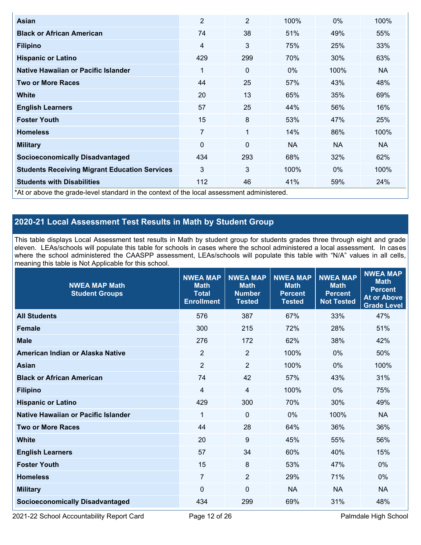| Asian                                                                                      | $\overline{2}$ | $\overline{2}$ | 100%      | $0\%$ | 100% |  |  |  |
|--------------------------------------------------------------------------------------------|----------------|----------------|-----------|-------|------|--|--|--|
| <b>Black or African American</b>                                                           | 74             | 38             | 51%       | 49%   | 55%  |  |  |  |
| <b>Filipino</b>                                                                            | $\overline{4}$ | 3              | 75%       | 25%   | 33%  |  |  |  |
| <b>Hispanic or Latino</b>                                                                  | 429            | 299            | 70%       | 30%   | 63%  |  |  |  |
| Native Hawaiian or Pacific Islander                                                        | 1              | 0              | $0\%$     | 100%  | NA.  |  |  |  |
| <b>Two or More Races</b>                                                                   | 44             | 25             | 57%       | 43%   | 48%  |  |  |  |
| <b>White</b>                                                                               | 20             | 13             | 65%       | 35%   | 69%  |  |  |  |
| <b>English Learners</b>                                                                    | 57             | 25             | 44%       | 56%   | 16%  |  |  |  |
| <b>Foster Youth</b>                                                                        | 15             | 8              | 53%       | 47%   | 25%  |  |  |  |
| <b>Homeless</b>                                                                            | $\overline{7}$ | 1              | 14%       | 86%   | 100% |  |  |  |
| <b>Military</b>                                                                            | 0              | 0              | <b>NA</b> | NA.   | NA.  |  |  |  |
| <b>Socioeconomically Disadvantaged</b>                                                     | 434            | 293            | 68%       | 32%   | 62%  |  |  |  |
| <b>Students Receiving Migrant Education Services</b>                                       | 3              | 3              | 100%      | $0\%$ | 100% |  |  |  |
| <b>Students with Disabilities</b>                                                          | 112            | 46             | 41%       | 59%   | 24%  |  |  |  |
| *At or above the grade-level standard in the context of the local assessment administered. |                |                |           |       |      |  |  |  |

## **2020-21 Local Assessment Test Results in Math by Student Group**

This table displays Local Assessment test results in Math by student group for students grades three through eight and grade eleven. LEAs/schools will populate this table for schools in cases where the school administered a local assessment. In cases where the school administered the CAASPP assessment, LEAs/schools will populate this table with "N/A" values in all cells, meaning this table is Not Applicable for this school.

| <b>NWEA MAP Math</b><br><b>Student Groups</b> | <b>NWEA MAP</b><br><b>Math</b><br><b>Total</b><br><b>Enrollment</b> | <b>NWEA MAP</b><br><b>Math</b><br><b>Number</b><br><b>Tested</b> | <b>NWEA MAP</b><br><b>Math</b><br><b>Percent</b><br><b>Tested</b> | <b>NWEA MAP</b><br><b>Math</b><br><b>Percent</b><br><b>Not Tested</b> | <b>NWEA MAP</b><br><b>Math</b><br><b>Percent</b><br><b>At or Above</b><br><b>Grade Level</b> |
|-----------------------------------------------|---------------------------------------------------------------------|------------------------------------------------------------------|-------------------------------------------------------------------|-----------------------------------------------------------------------|----------------------------------------------------------------------------------------------|
| <b>All Students</b>                           | 576                                                                 | 387                                                              | 67%                                                               | 33%                                                                   | 47%                                                                                          |
| <b>Female</b>                                 | 300                                                                 | 215                                                              | 72%                                                               | 28%                                                                   | 51%                                                                                          |
| <b>Male</b>                                   | 276                                                                 | 172                                                              | 62%                                                               | 38%                                                                   | 42%                                                                                          |
| American Indian or Alaska Native              | $\overline{2}$                                                      | $\overline{2}$                                                   | 100%                                                              | 0%                                                                    | 50%                                                                                          |
| <b>Asian</b>                                  | $\overline{2}$                                                      | $\overline{2}$                                                   | 100%                                                              | 0%                                                                    | 100%                                                                                         |
| <b>Black or African American</b>              | 74                                                                  | 42                                                               | 57%                                                               | 43%                                                                   | 31%                                                                                          |
| <b>Filipino</b>                               | 4                                                                   | 4                                                                | 100%                                                              | 0%                                                                    | 75%                                                                                          |
| <b>Hispanic or Latino</b>                     | 429                                                                 | 300                                                              | 70%                                                               | 30%                                                                   | 49%                                                                                          |
| Native Hawaiian or Pacific Islander           | 1                                                                   | $\mathbf{0}$                                                     | 0%                                                                | 100%                                                                  | <b>NA</b>                                                                                    |
| <b>Two or More Races</b>                      | 44                                                                  | 28                                                               | 64%                                                               | 36%                                                                   | 36%                                                                                          |
| <b>White</b>                                  | 20                                                                  | 9                                                                | 45%                                                               | 55%                                                                   | 56%                                                                                          |
| <b>English Learners</b>                       | 57                                                                  | 34                                                               | 60%                                                               | 40%                                                                   | 15%                                                                                          |
| <b>Foster Youth</b>                           | 15                                                                  | 8                                                                | 53%                                                               | 47%                                                                   | $0\%$                                                                                        |
| <b>Homeless</b>                               | $\overline{7}$                                                      | 2                                                                | 29%                                                               | 71%                                                                   | $0\%$                                                                                        |
| <b>Military</b>                               | $\Omega$                                                            | $\mathbf 0$                                                      | <b>NA</b>                                                         | <b>NA</b>                                                             | <b>NA</b>                                                                                    |
| <b>Socioeconomically Disadvantaged</b>        | 434                                                                 | 299                                                              | 69%                                                               | 31%                                                                   | 48%                                                                                          |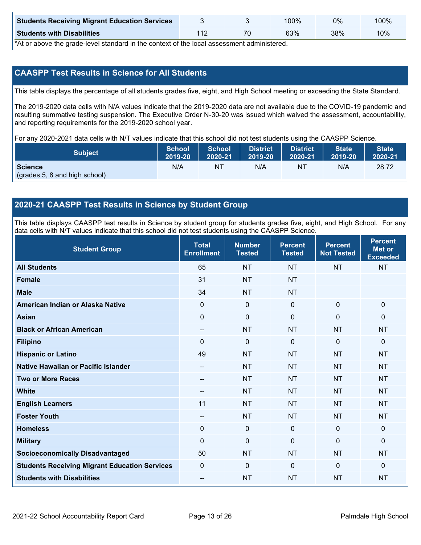| <b>Students Receiving Migrant Education Services</b> |  | 00%ا | 0%  | 100% |
|------------------------------------------------------|--|------|-----|------|
| <b>Students with Disabilities</b>                    |  | 63%  | 38% | 10%  |

\*At or above the grade-level standard in the context of the local assessment administered.

## **CAASPP Test Results in Science for All Students**

This table displays the percentage of all students grades five, eight, and High School meeting or exceeding the State Standard.

The 2019-2020 data cells with N/A values indicate that the 2019-2020 data are not available due to the COVID-19 pandemic and resulting summative testing suspension. The Executive Order N-30-20 was issued which waived the assessment, accountability, and reporting requirements for the 2019-2020 school year.

For any 2020-2021 data cells with N/T values indicate that this school did not test students using the CAASPP Science.

| <b>Subject</b>                                  | School  | <b>School</b> | <b>District</b> | <b>District</b> | <b>State</b> | <b>State</b> |
|-------------------------------------------------|---------|---------------|-----------------|-----------------|--------------|--------------|
|                                                 | 2019-20 | 2020-21       | 2019-20         | 2020-21         | 2019-20      | 2020-21      |
| <b>Science</b><br>(grades 5, 8 and high school) | N/A     | NT            | N/A             | N1              | N/A          | 28.72        |

### **2020-21 CAASPP Test Results in Science by Student Group**

This table displays CAASPP test results in Science by student group for students grades five, eight, and High School. For any data cells with N/T values indicate that this school did not test students using the CAASPP Science.

| <b>Student Group</b>                                 | <b>Total</b><br><b>Enrollment</b> | <b>Number</b><br><b>Tested</b> | <b>Percent</b><br><b>Tested</b> | <b>Percent</b><br><b>Not Tested</b> | <b>Percent</b><br><b>Met or</b><br><b>Exceeded</b> |
|------------------------------------------------------|-----------------------------------|--------------------------------|---------------------------------|-------------------------------------|----------------------------------------------------|
| <b>All Students</b>                                  | 65                                | <b>NT</b>                      | <b>NT</b>                       | <b>NT</b>                           | <b>NT</b>                                          |
| <b>Female</b>                                        | 31                                | <b>NT</b>                      | <b>NT</b>                       |                                     |                                                    |
| <b>Male</b>                                          | 34                                | <b>NT</b>                      | <b>NT</b>                       |                                     |                                                    |
| American Indian or Alaska Native                     | 0                                 | $\mathbf 0$                    | $\mathbf 0$                     | $\mathbf 0$                         | $\mathbf 0$                                        |
| <b>Asian</b>                                         | 0                                 | $\pmb{0}$                      | $\mathbf 0$                     | $\mathbf 0$                         | $\mathbf 0$                                        |
| <b>Black or African American</b>                     | --                                | <b>NT</b>                      | <b>NT</b>                       | <b>NT</b>                           | <b>NT</b>                                          |
| <b>Filipino</b>                                      | $\Omega$                          | 0                              | $\Omega$                        | $\Omega$                            | $\mathbf{0}$                                       |
| <b>Hispanic or Latino</b>                            | 49                                | <b>NT</b>                      | <b>NT</b>                       | <b>NT</b>                           | <b>NT</b>                                          |
| Native Hawaiian or Pacific Islander                  | --                                | <b>NT</b>                      | <b>NT</b>                       | <b>NT</b>                           | <b>NT</b>                                          |
| <b>Two or More Races</b>                             | --                                | <b>NT</b>                      | <b>NT</b>                       | <b>NT</b>                           | <b>NT</b>                                          |
| <b>White</b>                                         | $\sim$                            | <b>NT</b>                      | <b>NT</b>                       | <b>NT</b>                           | <b>NT</b>                                          |
| <b>English Learners</b>                              | 11                                | <b>NT</b>                      | <b>NT</b>                       | <b>NT</b>                           | <b>NT</b>                                          |
| <b>Foster Youth</b>                                  | --                                | <b>NT</b>                      | <b>NT</b>                       | <b>NT</b>                           | <b>NT</b>                                          |
| <b>Homeless</b>                                      | 0                                 | $\mathbf 0$                    | $\mathbf 0$                     | 0                                   | $\mathbf 0$                                        |
| <b>Military</b>                                      | $\Omega$                          | 0                              | $\mathbf{0}$                    | $\Omega$                            | $\mathbf 0$                                        |
| <b>Socioeconomically Disadvantaged</b>               | 50                                | <b>NT</b>                      | <b>NT</b>                       | <b>NT</b>                           | <b>NT</b>                                          |
| <b>Students Receiving Migrant Education Services</b> | 0                                 | 0                              | $\mathbf{0}$                    | $\mathbf{0}$                        | $\mathbf 0$                                        |
| <b>Students with Disabilities</b>                    | --                                | <b>NT</b>                      | <b>NT</b>                       | <b>NT</b>                           | <b>NT</b>                                          |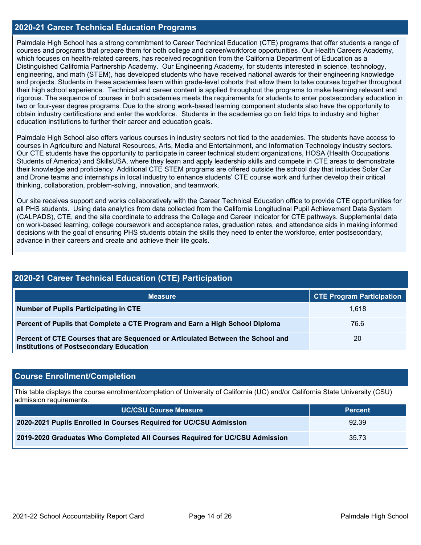### **2020-21 Career Technical Education Programs**

Palmdale High School has a strong commitment to Career Technical Education (CTE) programs that offer students a range of courses and programs that prepare them for both college and career/workforce opportunities. Our Health Careers Academy, which focuses on health-related careers, has received recognition from the California Department of Education as a Distinguished California Partnership Academy. Our Engineering Academy, for students interested in science, technology, engineering, and math (STEM), has developed students who have received national awards for their engineering knowledge and projects. Students in these academies learn within grade-level cohorts that allow them to take courses together throughout their high school experience. Technical and career content is applied throughout the programs to make learning relevant and rigorous. The sequence of courses in both academies meets the requirements for students to enter postsecondary education in two or four-year degree programs. Due to the strong work-based learning component students also have the opportunity to obtain industry certifications and enter the workforce. Students in the academies go on field trips to industry and higher education institutions to further their career and education goals.

Palmdale High School also offers various courses in industry sectors not tied to the academies. The students have access to courses in Agriculture and Natural Resources, Arts, Media and Entertainment, and Information Technology industry sectors. Our CTE students have the opportunity to participate in career technical student organizations, HOSA (Health Occupations Students of America) and SkillsUSA, where they learn and apply leadership skills and compete in CTE areas to demonstrate their knowledge and proficiency. Additional CTE STEM programs are offered outside the school day that includes Solar Car and Drone teams and internships in local industry to enhance students' CTE course work and further develop their critical thinking, collaboration, problem-solving, innovation, and teamwork.

Our site receives support and works collaboratively with the Career Technical Education office to provide CTE opportunities for all PHS students. Using data analytics from data collected from the California Longitudinal Pupil Achievement Data System (CALPADS), CTE, and the site coordinate to address the College and Career Indicator for CTE pathways. Supplemental data on work-based learning, college coursework and acceptance rates, graduation rates, and attendance aids in making informed decisions with the goal of ensuring PHS students obtain the skills they need to enter the workforce, enter postsecondary, advance in their careers and create and achieve their life goals.

| 2020-21 Career Technical Education (CTE) Participation                                                                            |                                  |  |  |  |
|-----------------------------------------------------------------------------------------------------------------------------------|----------------------------------|--|--|--|
| <b>Measure</b>                                                                                                                    | <b>CTE Program Participation</b> |  |  |  |
| <b>Number of Pupils Participating in CTE</b>                                                                                      | 1.618                            |  |  |  |
| Percent of Pupils that Complete a CTE Program and Earn a High School Diploma                                                      | 76.6                             |  |  |  |
| Percent of CTE Courses that are Sequenced or Articulated Between the School and<br><b>Institutions of Postsecondary Education</b> | 20                               |  |  |  |

#### **Course Enrollment/Completion**

This table displays the course enrollment/completion of University of California (UC) and/or California State University (CSU) admission requirements.

| <b>UC/CSU Course Measure</b>                                                | <b>Percent</b> |
|-----------------------------------------------------------------------------|----------------|
| 2020-2021 Pupils Enrolled in Courses Required for UC/CSU Admission          | 92.39          |
| 2019-2020 Graduates Who Completed All Courses Required for UC/CSU Admission | 35.73          |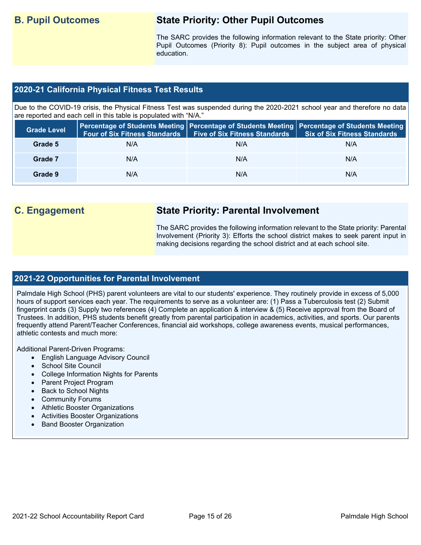## **B. Pupil Outcomes State Priority: Other Pupil Outcomes**

The SARC provides the following information relevant to the State priority: Other Pupil Outcomes (Priority 8): Pupil outcomes in the subject area of physical education.

## **2020-21 California Physical Fitness Test Results**

Due to the COVID-19 crisis, the Physical Fitness Test was suspended during the 2020-2021 school year and therefore no data are reported and each cell in this table is populated with "N/A."

| <b>Grade Level</b> | <b>Four of Six Fitness Standards</b> | <b>Five of Six Fitness Standards</b> | Percentage of Students Meeting   Percentage of Students Meeting   Percentage of Students Meeting  <br><b>Six of Six Fitness Standards</b> |
|--------------------|--------------------------------------|--------------------------------------|-------------------------------------------------------------------------------------------------------------------------------------------|
| Grade 5            | N/A                                  | N/A                                  | N/A                                                                                                                                       |
| Grade 7            | N/A                                  | N/A                                  | N/A                                                                                                                                       |
| Grade 9            | N/A                                  | N/A                                  | N/A                                                                                                                                       |

## **C. Engagement State Priority: Parental Involvement**

The SARC provides the following information relevant to the State priority: Parental Involvement (Priority 3): Efforts the school district makes to seek parent input in making decisions regarding the school district and at each school site.

#### **2021-22 Opportunities for Parental Involvement**

Palmdale High School (PHS) parent volunteers are vital to our students' experience. They routinely provide in excess of 5,000 hours of support services each year. The requirements to serve as a volunteer are: (1) Pass a Tuberculosis test (2) Submit fingerprint cards (3) Supply two references (4) Complete an application & interview & (5) Receive approval from the Board of Trustees. In addition, PHS students benefit greatly from parental participation in academics, activities, and sports. Our parents frequently attend Parent/Teacher Conferences, financial aid workshops, college awareness events, musical performances, athletic contests and much more:

Additional Parent-Driven Programs:

- English Language Advisory Council
- School Site Council
- College Information Nights for Parents
- Parent Project Program
- Back to School Nights
- Community Forums
- Athletic Booster Organizations
- Activities Booster Organizations
- Band Booster Organization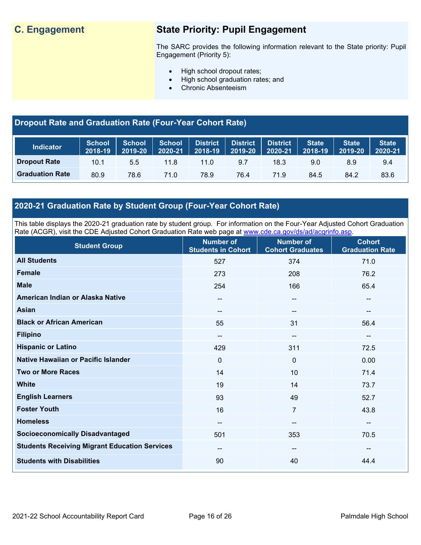## **C. Engagement State Priority: Pupil Engagement**

The SARC provides the following information relevant to the State priority: Pupil Engagement (Priority 5):

- High school dropout rates;
- High school graduation rates; and
- Chronic Absenteeism

## **Dropout Rate and Graduation Rate (Four-Year Cohort Rate)**

| <b>Indicator</b>       | <b>School</b><br>2018-19 | <b>School</b><br>2019-20 | <b>School</b><br>2020-21 | District<br>$2018 - 19$ | <b>District</b><br>2019-20 | <b>District</b><br>2020-21 | <b>State</b><br>2018-19 | <b>State</b><br>2019-20 | <b>State</b><br>2020-21 |
|------------------------|--------------------------|--------------------------|--------------------------|-------------------------|----------------------------|----------------------------|-------------------------|-------------------------|-------------------------|
| <b>Dropout Rate</b>    | 10.1                     | 5.5                      | 11.8                     | $11.0^\circ$            | 9.7                        | 18.3                       | 9.0                     | 8.9                     | 9.4                     |
| <b>Graduation Rate</b> | 80.9                     | 78.6                     | 71.0                     | 78.9                    | 76.4                       | 71.9                       | 84.5                    | 84.2                    | 83.6                    |

## **2020-21 Graduation Rate by Student Group (Four-Year Cohort Rate)**

This table displays the 2020-21 graduation rate by student group. For information on the Four-Year Adjusted Cohort Graduation Rate (ACGR), visit the CDE Adjusted Cohort Graduation Rate web page at [www.cde.ca.gov/ds/ad/acgrinfo.asp.](http://www.cde.ca.gov/ds/ad/acgrinfo.asp)

| <b>Student Group</b>                                 | <b>Number of</b><br><b>Students in Cohort</b> | <b>Number of</b><br><b>Cohort Graduates</b> | <b>Cohort</b><br><b>Graduation Rate</b> |
|------------------------------------------------------|-----------------------------------------------|---------------------------------------------|-----------------------------------------|
| <b>All Students</b>                                  | 527                                           | 374                                         | 71.0                                    |
| <b>Female</b>                                        | 273                                           | 208                                         | 76.2                                    |
| <b>Male</b>                                          | 254                                           | 166                                         | 65.4                                    |
| American Indian or Alaska Native                     | $\overline{\phantom{a}}$                      | --                                          | $\overline{\phantom{a}}$                |
| <b>Asian</b>                                         | $\sim$                                        | --                                          | --                                      |
| <b>Black or African American</b>                     | 55                                            | 31                                          | 56.4                                    |
| <b>Filipino</b>                                      | $\overline{\phantom{m}}$                      | --                                          | $\overline{\phantom{m}}$                |
| <b>Hispanic or Latino</b>                            | 429                                           | 311                                         | 72.5                                    |
| Native Hawaiian or Pacific Islander                  | $\mathbf 0$                                   | $\mathbf 0$                                 | 0.00                                    |
| <b>Two or More Races</b>                             | 14                                            | 10                                          | 71.4                                    |
| <b>White</b>                                         | 19                                            | 14                                          | 73.7                                    |
| <b>English Learners</b>                              | 93                                            | 49                                          | 52.7                                    |
| <b>Foster Youth</b>                                  | 16                                            | $\overline{7}$                              | 43.8                                    |
| <b>Homeless</b>                                      | $\sim$                                        | --                                          | $\overline{\phantom{a}}$                |
| <b>Socioeconomically Disadvantaged</b>               | 501                                           | 353                                         | 70.5                                    |
| <b>Students Receiving Migrant Education Services</b> | $\overline{\phantom{a}}$                      | --                                          | $\overline{\phantom{a}}$                |
| <b>Students with Disabilities</b>                    | 90                                            | 40                                          | 44.4                                    |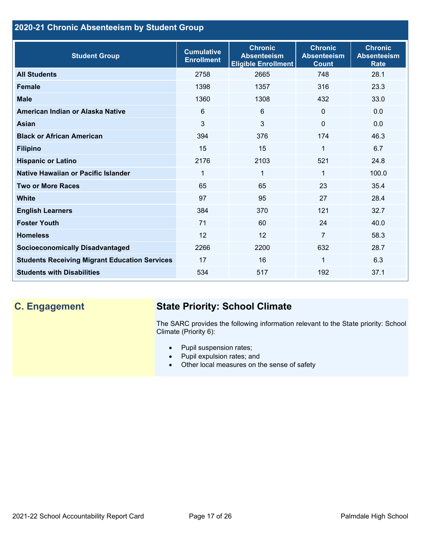## **2020-21 Chronic Absenteeism by Student Group**

| <b>Student Group</b>                                 | <b>Cumulative</b><br><b>Enrollment</b> | <b>Chronic</b><br><b>Absenteeism</b><br><b>Eligible Enrollment</b> | <b>Chronic</b><br><b>Absenteeism</b><br><b>Count</b> | <b>Chronic</b><br><b>Absenteeism</b><br><b>Rate</b> |
|------------------------------------------------------|----------------------------------------|--------------------------------------------------------------------|------------------------------------------------------|-----------------------------------------------------|
| <b>All Students</b>                                  | 2758                                   | 2665                                                               | 748                                                  | 28.1                                                |
| <b>Female</b>                                        | 1398                                   | 1357                                                               | 316                                                  | 23.3                                                |
| <b>Male</b>                                          | 1360                                   | 1308                                                               | 432                                                  | 33.0                                                |
| American Indian or Alaska Native                     | 6                                      | 6                                                                  | $\Omega$                                             | 0.0                                                 |
| Asian                                                | 3                                      | 3                                                                  | $\Omega$                                             | 0.0                                                 |
| <b>Black or African American</b>                     | 394                                    | 376                                                                | 174                                                  | 46.3                                                |
| <b>Filipino</b>                                      | 15                                     | 15                                                                 | 1                                                    | 6.7                                                 |
| <b>Hispanic or Latino</b>                            | 2176                                   | 2103                                                               | 521                                                  | 24.8                                                |
| Native Hawaiian or Pacific Islander                  | 1                                      | $\mathbf 1$                                                        | 1                                                    | 100.0                                               |
| <b>Two or More Races</b>                             | 65                                     | 65                                                                 | 23                                                   | 35.4                                                |
| <b>White</b>                                         | 97                                     | 95                                                                 | 27                                                   | 28.4                                                |
| <b>English Learners</b>                              | 384                                    | 370                                                                | 121                                                  | 32.7                                                |
| <b>Foster Youth</b>                                  | 71                                     | 60                                                                 | 24                                                   | 40.0                                                |
| <b>Homeless</b>                                      | 12                                     | 12                                                                 | $\overline{7}$                                       | 58.3                                                |
| <b>Socioeconomically Disadvantaged</b>               | 2266                                   | 2200                                                               | 632                                                  | 28.7                                                |
| <b>Students Receiving Migrant Education Services</b> | 17                                     | 16                                                                 | 1                                                    | 6.3                                                 |
| <b>Students with Disabilities</b>                    | 534                                    | 517                                                                | 192                                                  | 37.1                                                |

# **C. Engagement State Priority: School Climate**

The SARC provides the following information relevant to the State priority: School Climate (Priority 6):

- Pupil suspension rates;
- Pupil expulsion rates; and
- Other local measures on the sense of safety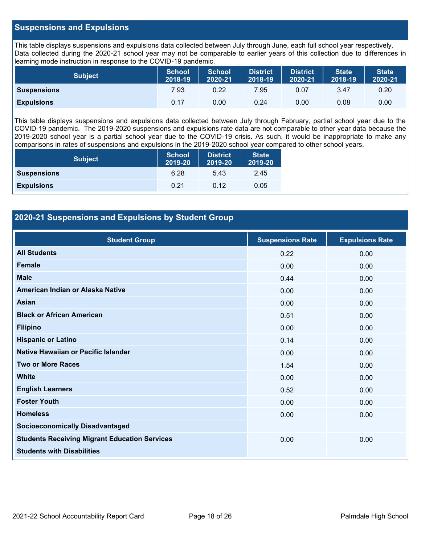### **Suspensions and Expulsions**

This table displays suspensions and expulsions data collected between July through June, each full school year respectively. Data collected during the 2020-21 school year may not be comparable to earlier years of this collection due to differences in learning mode instruction in response to the COVID-19 pandemic.

| <b>Subject</b>     | <b>School</b><br>2018-19 | <b>School</b><br>2020-21 | <b>District</b><br>2018-19 | <b>District</b><br>2020-21 | <b>State</b><br>2018-19 | <b>State</b><br>2020-21 |
|--------------------|--------------------------|--------------------------|----------------------------|----------------------------|-------------------------|-------------------------|
| <b>Suspensions</b> | 7.93                     | 0.22                     | 7.95                       | 0.07                       | 3.47                    | 0.20                    |
| <b>Expulsions</b>  | 0.17                     | 0.00                     | 0.24                       | 0.00                       | 0.08                    | 0.00                    |

This table displays suspensions and expulsions data collected between July through February, partial school year due to the COVID-19 pandemic. The 2019-2020 suspensions and expulsions rate data are not comparable to other year data because the 2019-2020 school year is a partial school year due to the COVID-19 crisis. As such, it would be inappropriate to make any comparisons in rates of suspensions and expulsions in the 2019-2020 school year compared to other school years.

| <b>Subject</b>     | <b>School</b><br>2019-20 | <b>District</b><br>2019-20 | <b>State</b><br>2019-20 |
|--------------------|--------------------------|----------------------------|-------------------------|
| <b>Suspensions</b> | 6.28                     | 5.43                       | 2.45                    |
| <b>Expulsions</b>  | 0.21                     | 0.12                       | 0.05                    |

## **2020-21 Suspensions and Expulsions by Student Group**

| <b>Student Group</b>                                 | <b>Suspensions Rate</b> | <b>Expulsions Rate</b> |
|------------------------------------------------------|-------------------------|------------------------|
| <b>All Students</b>                                  | 0.22                    | 0.00                   |
| <b>Female</b>                                        | 0.00                    | 0.00                   |
| <b>Male</b>                                          | 0.44                    | 0.00                   |
| American Indian or Alaska Native                     | 0.00                    | 0.00                   |
| <b>Asian</b>                                         | 0.00                    | 0.00                   |
| <b>Black or African American</b>                     | 0.51                    | 0.00                   |
| <b>Filipino</b>                                      | 0.00                    | 0.00                   |
| <b>Hispanic or Latino</b>                            | 0.14                    | 0.00                   |
| Native Hawaiian or Pacific Islander                  | 0.00                    | 0.00                   |
| <b>Two or More Races</b>                             | 1.54                    | 0.00                   |
| <b>White</b>                                         | 0.00                    | 0.00                   |
| <b>English Learners</b>                              | 0.52                    | 0.00                   |
| <b>Foster Youth</b>                                  | 0.00                    | 0.00                   |
| <b>Homeless</b>                                      | 0.00                    | 0.00                   |
| <b>Socioeconomically Disadvantaged</b>               |                         |                        |
| <b>Students Receiving Migrant Education Services</b> | 0.00                    | 0.00                   |
| <b>Students with Disabilities</b>                    |                         |                        |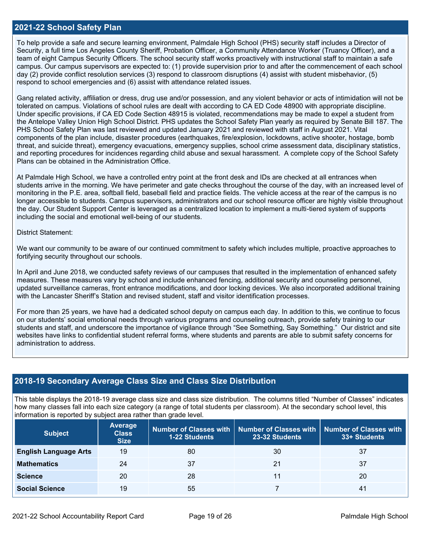#### **2021-22 School Safety Plan**

To help provide a safe and secure learning environment, Palmdale High School (PHS) security staff includes a Director of Security, a full time Los Angeles County Sheriff, Probation Officer, a Community Attendance Worker (Truancy Officer), and a team of eight Campus Security Officers. The school security staff works proactively with instructional staff to maintain a safe campus. Our campus supervisors are expected to: (1) provide supervision prior to and after the commencement of each school day (2) provide conflict resolution services (3) respond to classroom disruptions (4) assist with student misbehavior, (5) respond to school emergencies and (6) assist with attendance related issues.

Gang related activity, affiliation or dress, drug use and/or possession, and any violent behavior or acts of intimidation will not be tolerated on campus. Violations of school rules are dealt with according to CA ED Code 48900 with appropriate discipline. Under specific provisions, if CA ED Code Section 48915 is violated, recommendations may be made to expel a student from the Antelope Valley Union High School District. PHS updates the School Safety Plan yearly as required by Senate Bill 187. The PHS School Safety Plan was last reviewed and updated January 2021 and reviewed with staff in August 2021. Vital components of the plan include, disaster procedures (earthquakes, fire/explosion, lockdowns, active shooter, hostage, bomb threat, and suicide threat), emergency evacuations, emergency supplies, school crime assessment data, disciplinary statistics, and reporting procedures for incidences regarding child abuse and sexual harassment. A complete copy of the School Safety Plans can be obtained in the Administration Office.

At Palmdale High School, we have a controlled entry point at the front desk and IDs are checked at all entrances when students arrive in the morning. We have perimeter and gate checks throughout the course of the day, with an increased level of monitoring in the P.E. area, softball field, baseball field and practice fields. The vehicle access at the rear of the campus is no longer accessible to students. Campus supervisors, administrators and our school resource officer are highly visible throughout the day. Our Student Support Center is leveraged as a centralized location to implement a multi-tiered system of supports including the social and emotional well-being of our students.

#### District Statement:

We want our community to be aware of our continued commitment to safety which includes multiple, proactive approaches to fortifying security throughout our schools.

In April and June 2018, we conducted safety reviews of our campuses that resulted in the implementation of enhanced safety measures. These measures vary by school and include enhanced fencing, additional security and counseling personnel, updated surveillance cameras, front entrance modifications, and door locking devices. We also incorporated additional training with the Lancaster Sheriff's Station and revised student, staff and visitor identification processes.

For more than 25 years, we have had a dedicated school deputy on campus each day. In addition to this, we continue to focus on our students' social emotional needs through various programs and counseling outreach, provide safety training to our students and staff, and underscore the importance of vigilance through "See Something, Say Something." Our district and site websites have links to confidential student referral forms, where students and parents are able to submit safety concerns for administration to address.

### **2018-19 Secondary Average Class Size and Class Size Distribution**

This table displays the 2018-19 average class size and class size distribution. The columns titled "Number of Classes" indicates how many classes fall into each size category (a range of total students per classroom). At the secondary school level, this information is reported by subject area rather than grade level.

| <b>Subject</b>               | Average<br><b>Class</b><br><b>Size</b> | <b>1-22 Students</b> | Number of Classes with   Number of Classes with<br><b>Number of Classes with</b><br>23-32 Students |    |
|------------------------------|----------------------------------------|----------------------|----------------------------------------------------------------------------------------------------|----|
| <b>English Language Arts</b> | 19                                     | 80                   | 30                                                                                                 | 37 |
| <b>Mathematics</b>           | 24                                     | 37                   | 21                                                                                                 | 37 |
| <b>Science</b>               | 20                                     | 28                   | 11                                                                                                 | 20 |
| <b>Social Science</b>        | 19                                     | 55                   |                                                                                                    | 41 |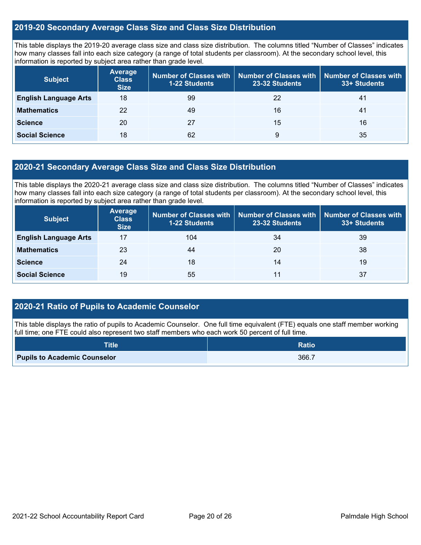## **2019-20 Secondary Average Class Size and Class Size Distribution**

This table displays the 2019-20 average class size and class size distribution. The columns titled "Number of Classes" indicates how many classes fall into each size category (a range of total students per classroom). At the secondary school level, this information is reported by subject area rather than grade level.

| <b>Subject</b>               | <b>Average</b><br><b>Class</b><br><b>Size</b> | Number of Classes with<br><b>1-22 Students</b> | <b>Number of Classes with</b><br>23-32 Students | <b>Number of Classes with</b><br>33+ Students |
|------------------------------|-----------------------------------------------|------------------------------------------------|-------------------------------------------------|-----------------------------------------------|
| <b>English Language Arts</b> | 18                                            | 99                                             | 22                                              | 41                                            |
| <b>Mathematics</b>           | 22                                            | 49                                             | 16                                              | 41                                            |
| <b>Science</b>               | 20                                            | 27                                             | 15                                              | 16                                            |
| <b>Social Science</b>        | 18                                            | 62                                             | 9                                               | 35                                            |

## **2020-21 Secondary Average Class Size and Class Size Distribution**

This table displays the 2020-21 average class size and class size distribution. The columns titled "Number of Classes" indicates how many classes fall into each size category (a range of total students per classroom). At the secondary school level, this information is reported by subject area rather than grade level.

| <b>Subject</b>               | <b>Average</b><br><b>Class</b><br><b>Size</b> | Number of Classes with  <br><b>1-22 Students</b> | 23-32 Students | Number of Classes with   Number of Classes with<br>33+ Students |
|------------------------------|-----------------------------------------------|--------------------------------------------------|----------------|-----------------------------------------------------------------|
| <b>English Language Arts</b> | 17                                            | 104                                              | 34             | 39                                                              |
| <b>Mathematics</b>           | 23                                            | 44                                               | 20             | 38                                                              |
| <b>Science</b>               | 24                                            | 18                                               | 14             | 19                                                              |
| <b>Social Science</b>        | 19                                            | 55                                               | 11             | 37                                                              |

## **2020-21 Ratio of Pupils to Academic Counselor**

This table displays the ratio of pupils to Academic Counselor. One full time equivalent (FTE) equals one staff member working full time; one FTE could also represent two staff members who each work 50 percent of full time.

| Title                               | <b>Ratio</b> |
|-------------------------------------|--------------|
| <b>Pupils to Academic Counselor</b> | 366.7        |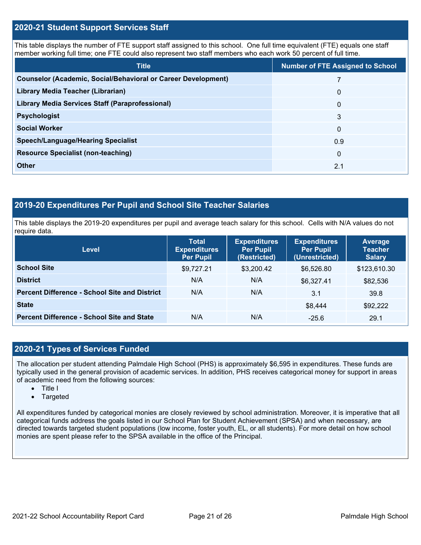### **2020-21 Student Support Services Staff**

This table displays the number of FTE support staff assigned to this school. One full time equivalent (FTE) equals one staff member working full time; one FTE could also represent two staff members who each work 50 percent of full time.

| <b>Title</b>                                                         | <b>Number of FTE Assigned to School</b> |
|----------------------------------------------------------------------|-----------------------------------------|
| <b>Counselor (Academic, Social/Behavioral or Career Development)</b> | 7                                       |
| Library Media Teacher (Librarian)                                    | $\mathbf{0}$                            |
| <b>Library Media Services Staff (Paraprofessional)</b>               | $\mathbf{0}$                            |
| <b>Psychologist</b>                                                  | 3                                       |
| <b>Social Worker</b>                                                 | 0                                       |
| <b>Speech/Language/Hearing Specialist</b>                            | 0.9                                     |
| <b>Resource Specialist (non-teaching)</b>                            | $\mathbf{0}$                            |
| <b>Other</b>                                                         | 2.1                                     |

## **2019-20 Expenditures Per Pupil and School Site Teacher Salaries**

This table displays the 2019-20 expenditures per pupil and average teach salary for this school. Cells with N/A values do not require data.

| <b>Level</b>                                         | <b>Total</b><br><b>Expenditures</b><br><b>Per Pupil</b> | <b>Expenditures</b><br><b>Per Pupil</b><br>(Restricted) | <b>Expenditures</b><br><b>Per Pupil</b><br>(Unrestricted) | Average<br><b>Teacher</b><br><b>Salary</b> |
|------------------------------------------------------|---------------------------------------------------------|---------------------------------------------------------|-----------------------------------------------------------|--------------------------------------------|
| <b>School Site</b>                                   | \$9,727.21                                              | \$3,200.42                                              | \$6,526.80                                                | \$123,610.30                               |
| <b>District</b>                                      | N/A                                                     | N/A                                                     | \$6,327.41                                                | \$82,536                                   |
| <b>Percent Difference - School Site and District</b> | N/A                                                     | N/A                                                     | 3.1                                                       | 39.8                                       |
| <b>State</b>                                         |                                                         |                                                         | \$8,444                                                   | \$92,222                                   |
| <b>Percent Difference - School Site and State</b>    | N/A                                                     | N/A                                                     | $-25.6$                                                   | 29.1                                       |

## **2020-21 Types of Services Funded**

The allocation per student attending Palmdale High School (PHS) is approximately \$6,595 in expenditures. These funds are typically used in the general provision of academic services. In addition, PHS receives categorical money for support in areas of academic need from the following sources:

- Title I
- Targeted

All expenditures funded by categorical monies are closely reviewed by school administration. Moreover, it is imperative that all categorical funds address the goals listed in our School Plan for Student Achievement (SPSA) and when necessary, are directed towards targeted student populations (low income, foster youth, EL, or all students). For more detail on how school monies are spent please refer to the SPSA available in the office of the Principal.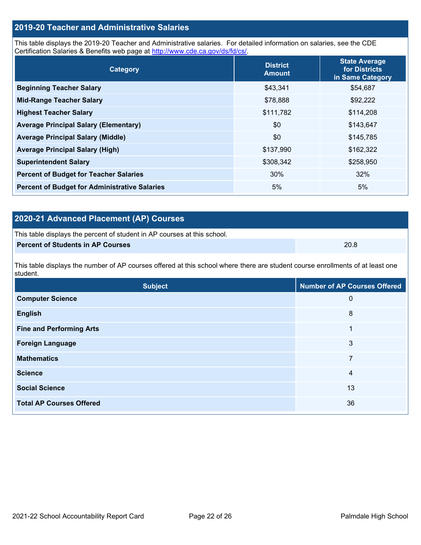## **2019-20 Teacher and Administrative Salaries**

This table displays the 2019-20 Teacher and Administrative salaries. For detailed information on salaries, see the CDE Certification Salaries & Benefits web page at [http://www.cde.ca.gov/ds/fd/cs/.](http://www.cde.ca.gov/ds/fd/cs/)

| Category                                             | <b>District</b><br><b>Amount</b> | <b>State Average</b><br>for Districts<br>in Same Category |  |
|------------------------------------------------------|----------------------------------|-----------------------------------------------------------|--|
| <b>Beginning Teacher Salary</b>                      | \$43,341                         | \$54,687                                                  |  |
| <b>Mid-Range Teacher Salary</b>                      | \$78,888                         | \$92,222                                                  |  |
| <b>Highest Teacher Salary</b>                        | \$111,782                        | \$114,208                                                 |  |
| <b>Average Principal Salary (Elementary)</b>         | \$0                              | \$143,647                                                 |  |
| <b>Average Principal Salary (Middle)</b>             | \$0                              | \$145,785                                                 |  |
| <b>Average Principal Salary (High)</b>               | \$137,990                        | \$162,322                                                 |  |
| <b>Superintendent Salary</b>                         | \$308,342                        | \$258,950                                                 |  |
| <b>Percent of Budget for Teacher Salaries</b>        | 30%                              | 32%                                                       |  |
| <b>Percent of Budget for Administrative Salaries</b> | 5%                               | 5%                                                        |  |

## **2020-21 Advanced Placement (AP) Courses**

| This table displays the percent of student in AP courses at this school. |      |
|--------------------------------------------------------------------------|------|
| Percent of Students in AP Courses                                        | 20.8 |

This table displays the number of AP courses offered at this school where there are student course enrollments of at least one student.

| <b>Subject</b>                  | <b>Number of AP Courses Offered</b> |
|---------------------------------|-------------------------------------|
| <b>Computer Science</b>         | 0                                   |
| <b>English</b>                  | 8                                   |
| <b>Fine and Performing Arts</b> | 1                                   |
| <b>Foreign Language</b>         | 3                                   |
| <b>Mathematics</b>              | 7                                   |
| <b>Science</b>                  | 4                                   |
| <b>Social Science</b>           | 13                                  |
| <b>Total AP Courses Offered</b> | 36                                  |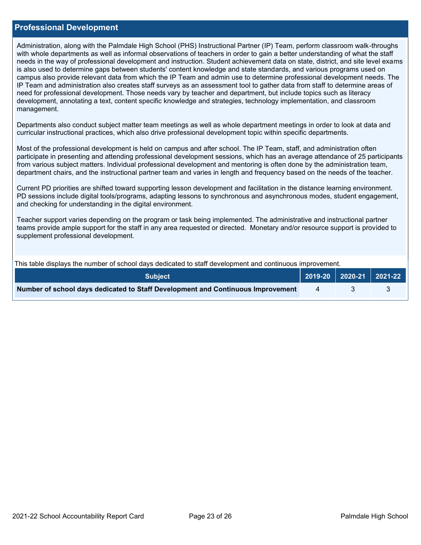#### **Professional Development**

Administration, along with the Palmdale High School (PHS) Instructional Partner (IP) Team, perform classroom walk-throughs with whole departments as well as informal observations of teachers in order to gain a better understanding of what the staff needs in the way of professional development and instruction. Student achievement data on state, district, and site level exams is also used to determine gaps between students' content knowledge and state standards, and various programs used on campus also provide relevant data from which the IP Team and admin use to determine professional development needs. The IP Team and administration also creates staff surveys as an assessment tool to gather data from staff to determine areas of need for professional development. Those needs vary by teacher and department, but include topics such as literacy development, annotating a text, content specific knowledge and strategies, technology implementation, and classroom management.

Departments also conduct subject matter team meetings as well as whole department meetings in order to look at data and curricular instructional practices, which also drive professional development topic within specific departments.

Most of the professional development is held on campus and after school. The IP Team, staff, and administration often participate in presenting and attending professional development sessions, which has an average attendance of 25 participants from various subject matters. Individual professional development and mentoring is often done by the administration team, department chairs, and the instructional partner team and varies in length and frequency based on the needs of the teacher.

Current PD priorities are shifted toward supporting lesson development and facilitation in the distance learning environment. PD sessions include digital tools/programs, adapting lessons to synchronous and asynchronous modes, student engagement, and checking for understanding in the digital environment.

Teacher support varies depending on the program or task being implemented. The administrative and instructional partner teams provide ample support for the staff in any area requested or directed. Monetary and/or resource support is provided to supplement professional development.

This table displays the number of school days dedicated to staff development and continuous improvement.

| <b>Subject</b>                                                                  | $\vert$ 2019-20 $\vert$ 2020-21 $\vert$ 2021-22 |  |
|---------------------------------------------------------------------------------|-------------------------------------------------|--|
| Number of school days dedicated to Staff Development and Continuous Improvement |                                                 |  |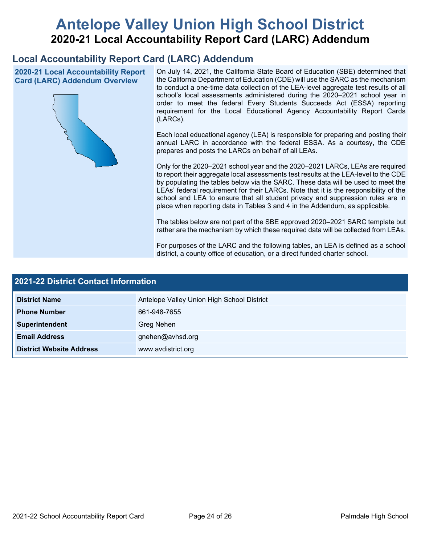# **Antelope Valley Union High School District 2020-21 Local Accountability Report Card (LARC) Addendum**

## **Local Accountability Report Card (LARC) Addendum**

**2020-21 Local Accountability Report Card (LARC) Addendum Overview**



On July 14, 2021, the California State Board of Education (SBE) determined that the California Department of Education (CDE) will use the SARC as the mechanism to conduct a one-time data collection of the LEA-level aggregate test results of all school's local assessments administered during the 2020–2021 school year in order to meet the federal Every Students Succeeds Act (ESSA) reporting requirement for the Local Educational Agency Accountability Report Cards (LARCs).

Each local educational agency (LEA) is responsible for preparing and posting their annual LARC in accordance with the federal ESSA. As a courtesy, the CDE prepares and posts the LARCs on behalf of all LEAs.

Only for the 2020–2021 school year and the 2020–2021 LARCs, LEAs are required to report their aggregate local assessments test results at the LEA-level to the CDE by populating the tables below via the SARC. These data will be used to meet the LEAs' federal requirement for their LARCs. Note that it is the responsibility of the school and LEA to ensure that all student privacy and suppression rules are in place when reporting data in Tables 3 and 4 in the Addendum, as applicable.

The tables below are not part of the SBE approved 2020–2021 SARC template but rather are the mechanism by which these required data will be collected from LEAs.

For purposes of the LARC and the following tables, an LEA is defined as a school district, a county office of education, or a direct funded charter school.

| <b>2021-22 District Contact Information</b> |                                            |  |  |  |
|---------------------------------------------|--------------------------------------------|--|--|--|
| <b>District Name</b>                        | Antelope Valley Union High School District |  |  |  |
| <b>Phone Number</b>                         | 661-948-7655                               |  |  |  |
| Superintendent                              | Greg Nehen                                 |  |  |  |
| <b>Email Address</b>                        | gnehen@avhsd.org                           |  |  |  |
| <b>District Website Address</b>             | www.avdistrict.org                         |  |  |  |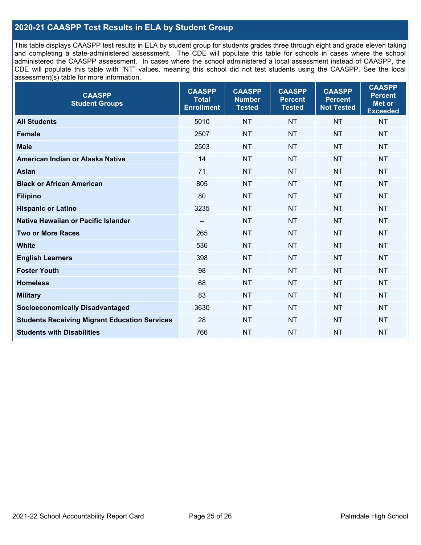## **2020-21 CAASPP Test Results in ELA by Student Group**

This table displays CAASPP test results in ELA by student group for students grades three through eight and grade eleven taking and completing a state-administered assessment. The CDE will populate this table for schools in cases where the school administered the CAASPP assessment. In cases where the school administered a local assessment instead of CAASPP, the CDE will populate this table with "NT" values, meaning this school did not test students using the CAASPP. See the local assessment(s) table for more information.

| <b>CAASPP</b><br><b>Student Groups</b>               | <b>CAASPP</b><br><b>Total</b><br><b>Enrollment</b> | <b>CAASPP</b><br><b>Number</b><br><b>Tested</b> | <b>CAASPP</b><br><b>Percent</b><br><b>Tested</b> | <b>CAASPP</b><br><b>Percent</b><br><b>Not Tested</b> | <b>CAASPP</b><br><b>Percent</b><br>Met or<br><b>Exceeded</b> |
|------------------------------------------------------|----------------------------------------------------|-------------------------------------------------|--------------------------------------------------|------------------------------------------------------|--------------------------------------------------------------|
| <b>All Students</b>                                  | 5010                                               | <b>NT</b>                                       | <b>NT</b>                                        | <b>NT</b>                                            | <b>NT</b>                                                    |
| <b>Female</b>                                        | 2507                                               | <b>NT</b>                                       | <b>NT</b>                                        | <b>NT</b>                                            | <b>NT</b>                                                    |
| <b>Male</b>                                          | 2503                                               | <b>NT</b>                                       | <b>NT</b>                                        | <b>NT</b>                                            | <b>NT</b>                                                    |
| American Indian or Alaska Native                     | 14                                                 | <b>NT</b>                                       | <b>NT</b>                                        | <b>NT</b>                                            | <b>NT</b>                                                    |
| <b>Asian</b>                                         | 71                                                 | <b>NT</b>                                       | <b>NT</b>                                        | <b>NT</b>                                            | <b>NT</b>                                                    |
| <b>Black or African American</b>                     | 805                                                | <b>NT</b>                                       | <b>NT</b>                                        | <b>NT</b>                                            | NT                                                           |
| <b>Filipino</b>                                      | 80                                                 | <b>NT</b>                                       | <b>NT</b>                                        | <b>NT</b>                                            | <b>NT</b>                                                    |
| <b>Hispanic or Latino</b>                            | 3235                                               | <b>NT</b>                                       | <b>NT</b>                                        | <b>NT</b>                                            | <b>NT</b>                                                    |
| <b>Native Hawaiian or Pacific Islander</b>           | --                                                 | <b>NT</b>                                       | <b>NT</b>                                        | <b>NT</b>                                            | <b>NT</b>                                                    |
| <b>Two or More Races</b>                             | 265                                                | <b>NT</b>                                       | <b>NT</b>                                        | <b>NT</b>                                            | <b>NT</b>                                                    |
| <b>White</b>                                         | 536                                                | <b>NT</b>                                       | <b>NT</b>                                        | <b>NT</b>                                            | <b>NT</b>                                                    |
| <b>English Learners</b>                              | 398                                                | <b>NT</b>                                       | <b>NT</b>                                        | <b>NT</b>                                            | <b>NT</b>                                                    |
| <b>Foster Youth</b>                                  | 98                                                 | <b>NT</b>                                       | <b>NT</b>                                        | <b>NT</b>                                            | <b>NT</b>                                                    |
| <b>Homeless</b>                                      | 68                                                 | <b>NT</b>                                       | <b>NT</b>                                        | <b>NT</b>                                            | <b>NT</b>                                                    |
| <b>Military</b>                                      | 83                                                 | <b>NT</b>                                       | <b>NT</b>                                        | <b>NT</b>                                            | <b>NT</b>                                                    |
| <b>Socioeconomically Disadvantaged</b>               | 3630                                               | <b>NT</b>                                       | <b>NT</b>                                        | <b>NT</b>                                            | <b>NT</b>                                                    |
| <b>Students Receiving Migrant Education Services</b> | 28                                                 | <b>NT</b>                                       | <b>NT</b>                                        | <b>NT</b>                                            | NT                                                           |
| <b>Students with Disabilities</b>                    | 766                                                | <b>NT</b>                                       | <b>NT</b>                                        | <b>NT</b>                                            | NT                                                           |